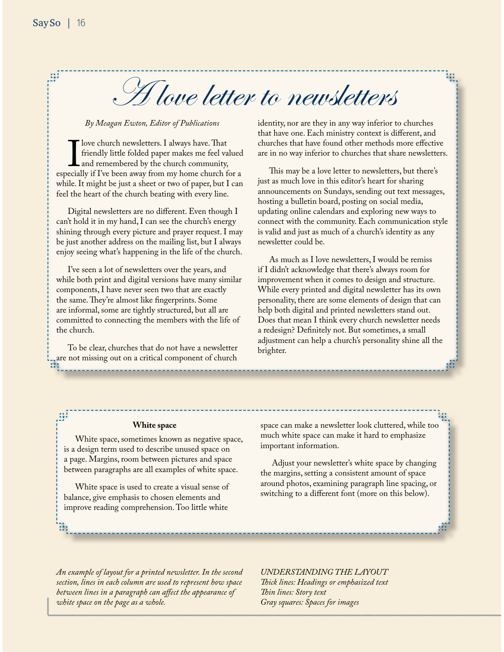A love letter to newsletters

*By Meagan Ewton, Editor of Publications*

I love church newsletters. I always have. That<br>friendly little folded paper makes me feel va<br>and remembered by the church community,<br>ecially if I've been away from my home church f friendly little folded paper makes me feel valued and remembered by the church community, especially if I've been away from my home church for a while. It might be just a sheet or two of paper, but I can feel the heart of the church beating with every line.

Digital newsletters are no diferent. Even though I can't hold it in my hand, I can see the church's energy shining through every picture and prayer request. I may be just another address on the mailing list, but I always enjoy seeing what's happening in the life of the church.

I've seen a lot of newsletters over the years, and while both print and digital versions have many similar components, I have never seen two that are exactly the same. They're almost like fingerprints. Some are informal, some are tightly structured, but all are committed to connecting the members with the life of the church.

To be clear, churches that do not have a newsletter are not missing out on a critical component of church identity, nor are they in any way inferior to churches that have one. Each ministry context is diferent, and churches that have found other methods more efective are in no way inferior to churches that share newsletters.

埋

This may be a love letter to newsletters, but there's just as much love in this editor's heart for sharing announcements on Sundays, sending out text messages, hosting a bulletin board, posting on social media, updating online calendars and exploring new ways to connect with the community. Each communication style is valid and just as much of a church's identity as any newsletter could be.

As much as I love newsletters, I would be remiss if I didn't acknowledge that there's always room for improvement when it comes to design and structure. While every printed and digital newsletter has its own personality, there are some elements of design that can help both digital and printed newsletters stand out. Does that mean I think every church newsletter needs a redesign? Defnitely not. But sometimes, a small adjustment can help a church's personality shine all the brighter.

# **White space**

White space, sometimes known as negative space, is a design term used to describe unused space on a page. Margins, room between pictures and space between paragraphs are all examples of white space.

White space is used to create a visual sense of balance, give emphasis to chosen elements and improve reading comprehension. Too little white

space can make a newsletter look cluttered, while too much white space can make it hard to emphasize important information.

Adjust your newsletter's white space by changing the margins, setting a consistent amount of space around photos, examining paragraph line spacing, or switching to a diferent font (more on this below).

*An example of layout for a printed newsletter. In the second section, lines in each column are used to represent how space between lines in a paragraph can afect the appearance of white space on the page as a whole.*

*UNDERSTANDING THE LAYOUT Tick lines: Headings or emphasized text Tin lines: Story text Gray squares: Spaces for images*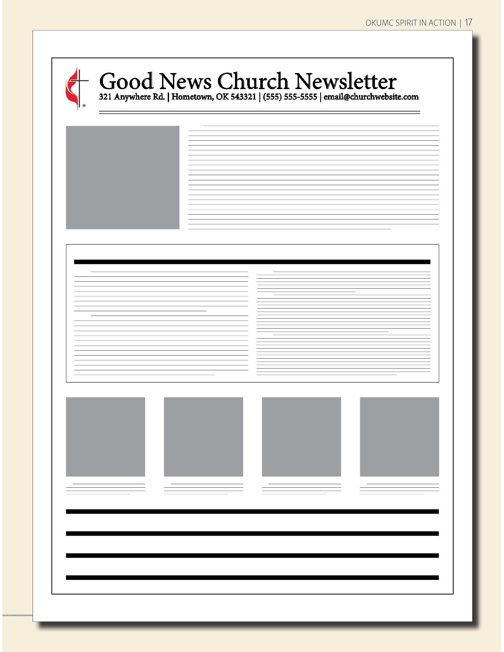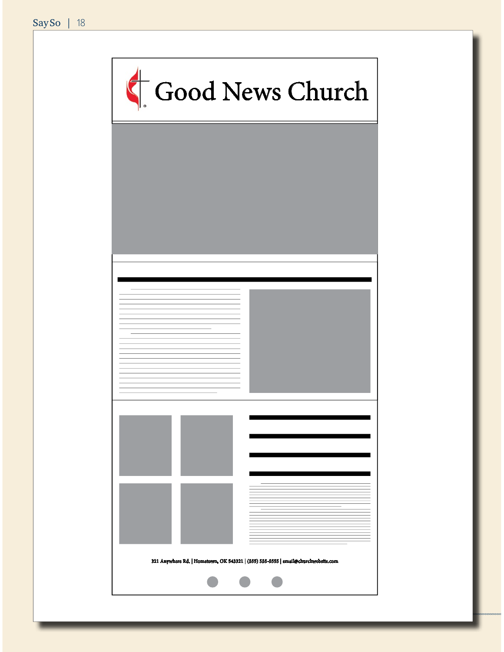